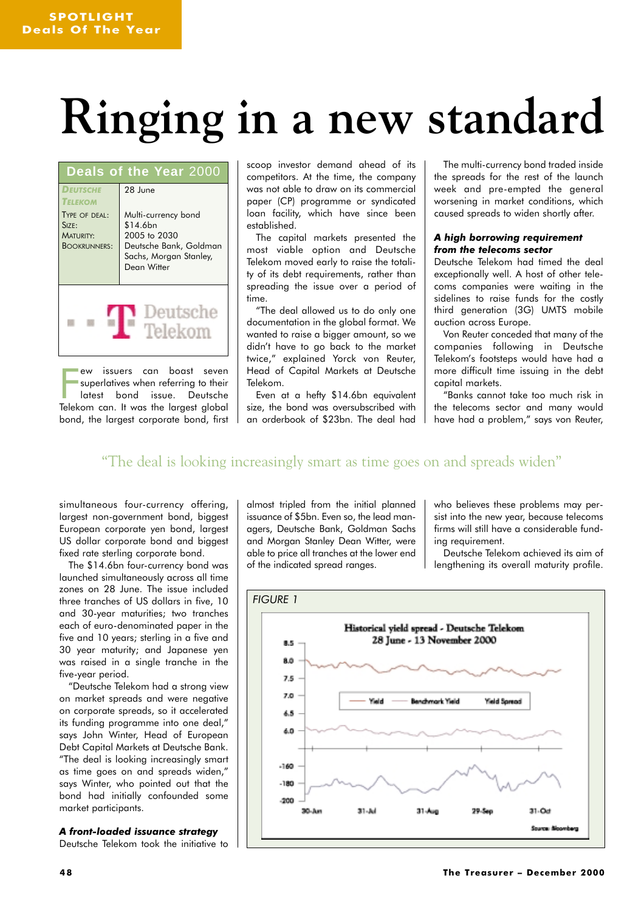# **Ringing in a new standard**

| Deals of the Year 2000                                            |                                                                                                                    |
|-------------------------------------------------------------------|--------------------------------------------------------------------------------------------------------------------|
| <b>DEUTSCHE</b><br><b>TELEKOM</b>                                 | 28 June                                                                                                            |
| TYPE OF DEAL:<br>Size:<br><b>MATURITY:</b><br><b>BOOKRUNNERS:</b> | Multi-currency bond<br>\$14.6bn<br>2005 to 2030<br>Deutsche Bank, Goldman<br>Sachs, Morgan Stanley,<br>Dean Witter |
| Deutsche<br>Telekom                                               |                                                                                                                    |

ew issuers can boast seven<br>superlatives when referring to their<br>latest bond issue. Deutsche<br>Telekom can. It was the largest global ew issuers can boast seven superlatives when referring to their latest bond issue. Deutsche bond, the largest corporate bond, first scoop investor demand ahead of its competitors. At the time, the company was not able to draw on its commercial paper (CP) programme or syndicated loan facility, which have since been established.

The capital markets presented the most viable option and Deutsche Telekom moved early to raise the totality of its debt requirements, rather than spreading the issue over a period of time.

"The deal allowed us to do only one documentation in the global format. We wanted to raise a bigger amount, so we didn't have to go back to the market twice," explained Yorck von Reuter, Head of Capital Markets at Deutsche Telekom.

Even at a hefty \$14.6bn equivalent size, the bond was oversubscribed with an orderbook of \$23bn. The deal had

The multi-currency bond traded inside the spreads for the rest of the launch week and pre-empted the general worsening in market conditions, which caused spreads to widen shortly after.

### *A high borrowing requirement from the telecoms sector*

Deutsche Telekom had timed the deal exceptionally well. A host of other telecoms companies were waiting in the sidelines to raise funds for the costly third generation (3G) UMTS mobile auction across Europe.

Von Reuter conceded that many of the companies following in Deutsche Telekom's footsteps would have had a more difficult time issuing in the debt capital markets.

"Banks cannot take too much risk in the telecoms sector and many would have had a problem," says von Reuter,

### "The deal is looking increasingly smart as time goes on and spreads widen"

simultaneous four-currency offering, largest non-government bond, biggest European corporate yen bond, largest US dollar corporate bond and biggest fixed rate sterling corporate bond.

The \$14.6bn four-currency bond was launched simultaneously across all time zones on 28 June. The issue included three tranches of US dollars in five, 10 and 30-year maturities; two tranches each of euro-denominated paper in the five and 10 years; sterling in a five and 30 year maturity; and Japanese yen was raised in a single tranche in the five-year period.

"Deutsche Telekom had a strong view on market spreads and were negative on corporate spreads, so it accelerated its funding programme into one deal," says John Winter, Head of European Debt Capital Markets at Deutsche Bank. "The deal is looking increasingly smart as time goes on and spreads widen," says Winter, who pointed out that the bond had initially confounded some market participants.

*A front-loaded issuance strategy* Deutsche Telekom took the initiative to almost tripled from the initial planned issuance of \$5bn. Even so, the lead managers, Deutsche Bank, Goldman Sachs and Morgan Stanley Dean Witter, were able to price all tranches at the lower end of the indicated spread ranges.

who believes these problems may persist into the new year, because telecoms firms will still have a considerable funding requirement.

Deutsche Telekom achieved its aim of lengthening its overall maturity profile.

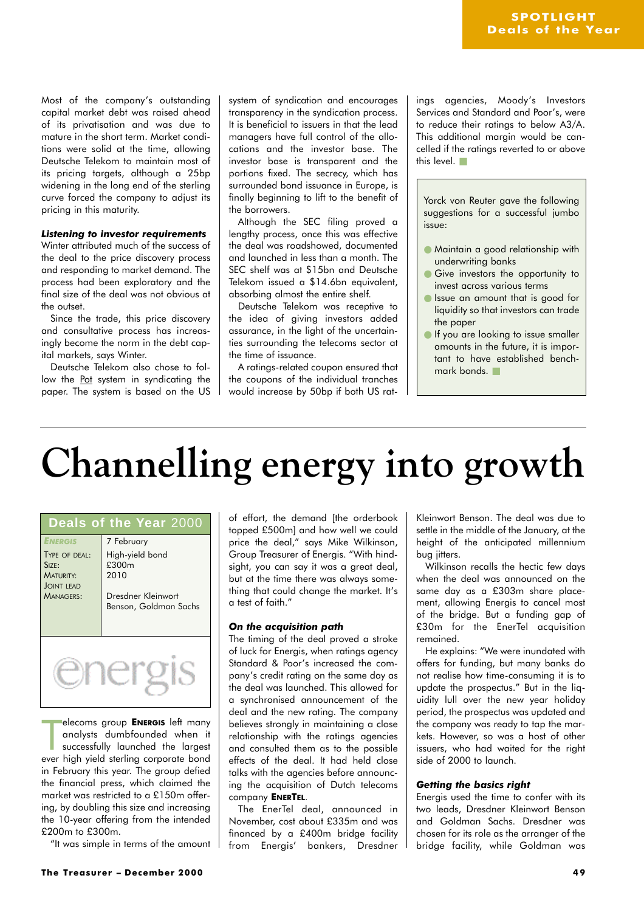Most of the company's outstanding capital market debt was raised ahead of its privatisation and was due to mature in the short term. Market conditions were solid at the time, allowing Deutsche Telekom to maintain most of its pricing targets, although a 25bp widening in the long end of the sterling curve forced the company to adjust its pricing in this maturity.

### *Listening to investor requirements*

Winter attributed much of the success of the deal to the price discovery process and responding to market demand. The process had been exploratory and the final size of the deal was not obvious at the outset.

Since the trade, this price discovery and consultative process has increasingly become the norm in the debt capital markets, says Winter.

Deutsche Telekom also chose to follow the Pot system in syndicating the paper. The system is based on the US system of syndication and encourages transparency in the syndication process. It is beneficial to issuers in that the lead managers have full control of the allocations and the investor base. The investor base is transparent and the portions fixed. The secrecy, which has surrounded bond issuance in Europe, is finally beginning to lift to the benefit of the borrowers.

Although the SEC filing proved a lengthy process, once this was effective the deal was roadshowed, documented and launched in less than a month. The SEC shelf was at \$15bn and Deutsche Telekom issued a \$14.6bn equivalent, absorbing almost the entire shelf.

Deutsche Telekom was receptive to the idea of giving investors added assurance, in the light of the uncertainties surrounding the telecoms sector at the time of issuance.

A ratings-related coupon ensured that the coupons of the individual tranches would increase by 50bp if both US ratings agencies, Moody's Investors Services and Standard and Poor's, were to reduce their ratings to below A3/A. This additional margin would be cancelled if the ratings reverted to or above this level. ■

Yorck von Reuter gave the following suggestions for a successful jumbo issue:

- Maintain a good relationship with underwriting banks
- Give investors the opportunity to invest across various terms
- Issue an amount that is good for liquidity so that investors can trade the paper
- If you are looking to issue smaller amounts in the future, it is important to have established benchmark bonds.

## **Channelling energy into growth**

| Deals of the Year 2000                                                                                      |                                                                                                           |  |
|-------------------------------------------------------------------------------------------------------------|-----------------------------------------------------------------------------------------------------------|--|
| <b>ENERGIS</b><br>TYPE OF DEAL:<br>$S$ <sub>17F</sub><br><b>MATURITY:</b><br><b>JOINT LEAD</b><br>MANAGERS: | 7 February<br>High-yield bond<br>£300 <sub>m</sub><br>2010<br>Dresdner Kleinwort<br>Benson, Goldman Sachs |  |
|                                                                                                             |                                                                                                           |  |

elecoms group **ENERGIS** left many<br>analysts dumbfounded when it<br>successfully launched the largest<br>ever high yield sterling corporate bond elecoms group **ENERGIS** left many analysts dumbfounded when it successfully launched the largest in February this year. The group defied the financial press, which claimed the market was restricted to a £150m offering, by doubling this size and increasing the 10-year offering from the intended £200m to £300m.

"It was simple in terms of the amount

of effort, the demand [the orderbook topped £500m] and how well we could price the deal," says Mike Wilkinson, Group Treasurer of Energis. "With hindsight, you can say it was a great deal, but at the time there was always something that could change the market. It's a test of faith."

### *On the acquisition path*

The timing of the deal proved a stroke of luck for Energis, when ratings agency Standard & Poor's increased the company's credit rating on the same day as the deal was launched. This allowed for a synchronised announcement of the deal and the new rating. The company believes strongly in maintaining a close relationship with the ratings agencies and consulted them as to the possible effects of the deal. It had held close talks with the agencies before announcing the acquisition of Dutch telecoms company **ENERTEL**.

The EnerTel deal, announced in November, cost about £335m and was financed by a £400m bridge facility from Energis' bankers, Dresdner

Kleinwort Benson. The deal was due to settle in the middle of the January, at the height of the anticipated millennium bug jitters.

Wilkinson recalls the hectic few days when the deal was announced on the same day as a £303m share placement, allowing Energis to cancel most of the bridge. But a funding gap of £30m for the EnerTel acquisition remained.

He explains: "We were inundated with offers for funding, but many banks do not realise how time-consuming it is to update the prospectus." But in the liquidity lull over the new year holiday period, the prospectus was updated and the company was ready to tap the markets. However, so was a host of other issuers, who had waited for the right side of 2000 to launch.

### *Getting the basics right*

Energis used the time to confer with its two leads, Dresdner Kleinwort Benson and Goldman Sachs. Dresdner was chosen for its role as the arranger of the bridge facility, while Goldman was